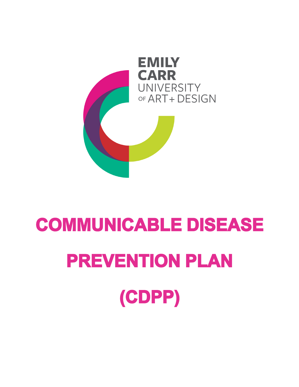# **COMMUNICABLE DISEASE PREVENTION PLAN (CDPP)**

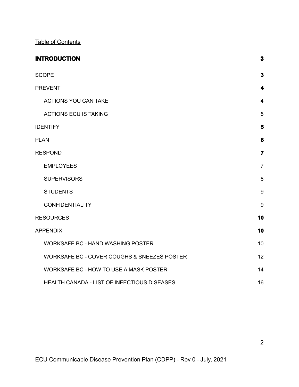Table of Contents

| <b>INTRODUCTION</b>                         | $\mathbf 3$    |
|---------------------------------------------|----------------|
| <b>SCOPE</b>                                | $\mathbf{3}$   |
| <b>PREVENT</b>                              | 4              |
| <b>ACTIONS YOU CAN TAKE</b>                 | $\overline{4}$ |
| <b>ACTIONS ECU IS TAKING</b>                | 5              |
| <b>IDENTIFY</b>                             | 5              |
| <b>PLAN</b>                                 | $6\phantom{1}$ |
| <b>RESPOND</b>                              | $\overline{7}$ |
| <b>EMPLOYEES</b>                            | $\overline{7}$ |
| <b>SUPERVISORS</b>                          | 8              |
| <b>STUDENTS</b>                             | 9              |
| <b>CONFIDENTIALITY</b>                      | 9              |
| <b>RESOURCES</b>                            | 10             |
| <b>APPENDIX</b>                             | 10             |
| <b>WORKSAFE BC - HAND WASHING POSTER</b>    | 10             |
| WORKSAFE BC - COVER COUGHS & SNEEZES POSTER | 12             |
| WORKSAFE BC - HOW TO USE A MASK POSTER      | 14             |
| HEALTH CANADA - LIST OF INFECTIOUS DISEASES | 16             |

2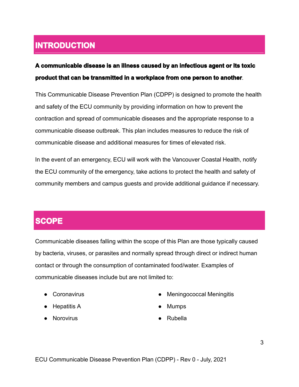### <span id="page-2-0"></span>**INTRODUCTION**

#### **A communicable disease is an illness caused by an infectious agent or its toxic product that can be transmitted in a workplace from one person to another**.

This Communicable Disease Prevention Plan (CDPP) is designed to promote the health and safety of the ECU community by providing information on how to prevent the contraction and spread of communicable diseases and the appropriate response to a communicable disease outbreak. This plan includes measures to reduce the risk of communicable disease and additional measures for times of elevated risk.

In the event of an emergency, ECU will work with the Vancouver Coastal Health, notify the ECU community of the emergency, take actions to protect the health and safety of community members and campus guests and provide additional guidance if necessary.

#### <span id="page-2-1"></span>**SCOPE**

Communicable diseases falling within the scope of this Plan are those typically caused by bacteria, viruses, or parasites and normally spread through direct or indirect human contact or through the consumption of contaminated food/water. Examples of communicable diseases include but are not limited to:

- 
- Hepatitis A  **Mumps**
- Norovirus Rubella
- Coronavirus et al. et al. et al. et al. et al. et al. et al. et al. et al. et al. et al. et al. et al. et al. et al. et al. et al. et al. et al. et al. et al. et al. et al. et al. et al. et al. et al. et al. et al. et a
	-
	-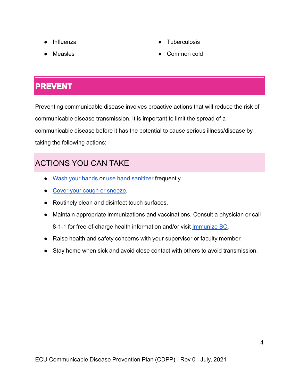- 
- 
- Influenza **by a Tuberculosis**
- Measles Common cold

### <span id="page-3-0"></span>**PREVENT**

Preventing communicable disease involves proactive actions that will reduce the risk of communicable disease transmission. It is important to limit the spread of a communicable disease before it has the potential to cause serious illness/disease by taking the following actions:

#### <span id="page-3-1"></span>ACTIONS YOU CAN TAKE

- Wash your [hands](http://www.vch.ca/Documents/How-to-handwash-poster.pdf) or use hand [sanitizer](http://ipac.vch.ca/Documents/Routine%20Practices/How%20to%20Hand%20Rub.pdf) frequently.
- Cover your cough or [sneeze.](http://ipac.vch.ca/Documents/Posters%20and%20Signage/Cover%20Your%20Cough%20Poster.pdf)
- Routinely clean and disinfect touch surfaces.
- Maintain appropriate immunizations and vaccinations. Consult a physician or call 8-1-1 for free-of-charge health information and/or visit *[Immunize](https://ecuad.us20.list-manage.com/track/click?u=aaa5bb02d5ff6da16a8980568&id=1c77543064&e=99b16f4f91) BC*.
- Raise health and safety concerns with your supervisor or faculty member.
- Stay home when sick and avoid close contact with others to avoid transmission.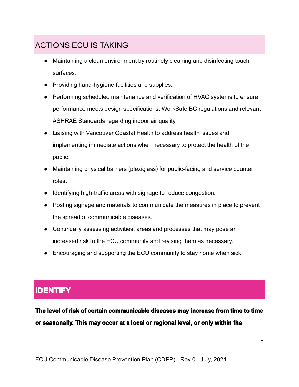#### <span id="page-4-0"></span>ACTIONS ECU IS TAKING

- Maintaining a clean environment by routinely cleaning and disinfecting touch surfaces.
- Providing hand-hygiene facilities and supplies.
- Performing scheduled maintenance and verification of HVAC systems to ensure performance meets design specifications, WorkSafe BC regulations and relevant ASHRAE Standards regarding indoor air quality.
- Liaising with Vancouver Coastal Health to address health issues and implementing immediate actions when necessary to protect the health of the public.
- Maintaining physical barriers (plexiglass) for public-facing and service counter roles.
- Identifying high-traffic areas with signage to reduce congestion.
- Posting signage and materials to communicate the measures in place to prevent the spread of communicable diseases.
- Continually assessing activities, areas and processes that may pose an increased risk to the ECU community and revising them as necessary.
- Encouraging and supporting the ECU community to stay home when sick.

#### <span id="page-4-1"></span>**IDENTIFY**

**The level of risk of certain communicable diseases may increase from time to time or seasonally. This may occur at a local or regional level, or only within the**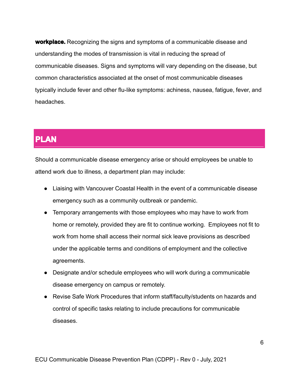**workplace.** Recognizing the signs and symptoms of a communicable disease and understanding the modes of transmission is vital in reducing the spread of communicable diseases. Signs and symptoms will vary depending on the disease, but common characteristics associated at the onset of most communicable diseases typically include fever and other flu-like symptoms: achiness, nausea, fatigue, fever, and headaches.

#### <span id="page-5-0"></span>**PLAN**

Should a communicable disease emergency arise or should employees be unable to attend work due to illness, a department plan may include:

- Liaising with Vancouver Coastal Health in the event of a communicable disease emergency such as a community outbreak or pandemic.
- Temporary arrangements with those employees who may have to work from home or remotely, provided they are fit to continue working. Employees not fit to work from home shall access their normal sick leave provisions as described under the applicable terms and conditions of employment and the collective agreements.
- Designate and/or schedule employees who will work during a communicable disease emergency on campus or remotely.
- Revise Safe Work Procedures that inform staff/faculty/students on hazards and control of specific tasks relating to include precautions for communicable diseases.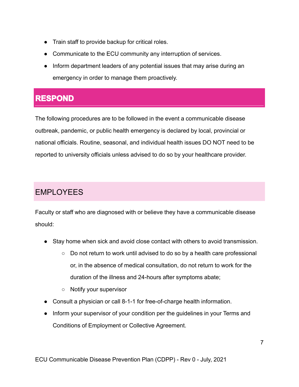- Train staff to provide backup for critical roles.
- Communicate to the ECU community any interruption of services.
- Inform department leaders of any potential issues that may arise during an emergency in order to manage them proactively.

#### <span id="page-6-0"></span>**RESPOND**

The following procedures are to be followed in the event a communicable disease outbreak, pandemic, or public health emergency is declared by local, provincial or national officials. Routine, seasonal, and individual health issues DO NOT need to be reported to university officials unless advised to do so by your healthcare provider.

#### <span id="page-6-1"></span>EMPLOYEES

Faculty or staff who are diagnosed with or believe they have a communicable disease should:

- Stay home when sick and avoid close contact with others to avoid transmission.
	- $\circ$  Do not return to work until advised to do so by a health care professional or, in the absence of medical consultation, do not return to work for the duration of the illness and 24-hours after symptoms abate;
	- Notify your supervisor
- Consult a physician or call 8-1-1 for free-of-charge health information.
- Inform your supervisor of your condition per the guidelines in your Terms and Conditions of Employment or Collective Agreement.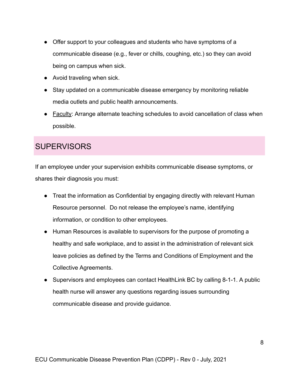- Offer support to your colleagues and students who have symptoms of a communicable disease (e.g., fever or chills, coughing, etc.) so they can avoid being on campus when sick.
- Avoid traveling when sick.
- Stay updated on a communicable disease emergency by monitoring reliable media outlets and public health announcements.
- Faculty: Arrange alternate teaching schedules to avoid cancellation of class when possible.

#### <span id="page-7-0"></span>**SUPERVISORS**

If an employee under your supervision exhibits communicable disease symptoms, or shares their diagnosis you must:

- Treat the information as Confidential by engaging directly with relevant Human Resource personnel. Do not release the employee's name, identifying information, or condition to other employees.
- Human Resources is available to supervisors for the purpose of promoting a healthy and safe workplace, and to assist in the administration of relevant sick leave policies as defined by the Terms and Conditions of Employment and the Collective Agreements.
- Supervisors and employees can contact HealthLink BC by calling 8-1-1. A public health nurse will answer any questions regarding issues surrounding communicable disease and provide guidance.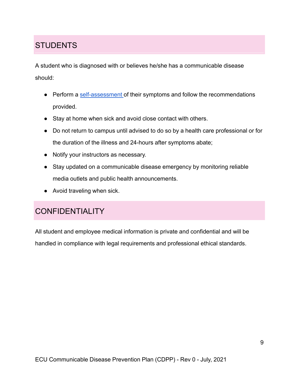### <span id="page-8-0"></span>**STUDENTS**

A student who is diagnosed with or believes he/she has a communicable disease should:

- Perform a [self-assessment](https://bc.thrive.health/covid19/en) of their symptoms and follow the recommendations provided.
- Stay at home when sick and avoid close contact with others.
- Do not return to campus until advised to do so by a health care professional or for the duration of the illness and 24-hours after symptoms abate;
- Notify your instructors as necessary.
- Stay updated on a communicable disease emergency by monitoring reliable media outlets and public health announcements.
- Avoid traveling when sick.

#### <span id="page-8-1"></span>**CONFIDENTIALITY**

All student and employee medical information is private and confidential and will be handled in compliance with legal requirements and professional ethical standards.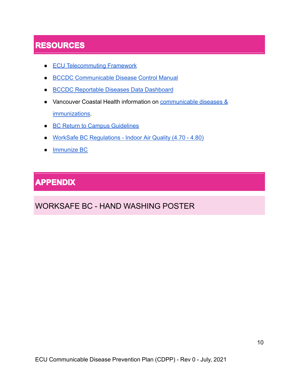### <span id="page-9-0"></span>**RESOURCES**

- ECU [Telecommuting](https://ecuad.us20.list-manage.com/track/click?u=aaa5bb02d5ff6da16a8980568&id=6f466d0c25&e=99b16f4f91) Framework
- BCCDC [Communicable](http://www.bccdc.ca/health-professionals/clinical-resources/communicable-disease-control-manual) Disease Control Manual
- BCCDC [Reportable](http://www.bccdc.ca/health-professionals/data-reports/reportable-diseases-data-dashboard) Diseases Data Dashboard
- Vancouver Coastal Health information on **[communicable](http://www.vch.ca/public-health/communicable-diseases-immunizations) diseases &** [immunizations.](http://www.vch.ca/public-health/communicable-diseases-immunizations)
- BC Return to Campus [Guidelines](https://www2.gov.bc.ca/assets/gov/education/post-secondary-education/institution-resources-administration/covid19-return-to-campus-guidelines-web.pdf)
- WorkSafe BC [Regulations](https://www.worksafebc.com/en/law-policy/occupational-health-safety/searchable-ohs-regulation/ohs-regulation/part-04-general-conditions#SectionNumber:4.70) Indoor Air Quality (4.70 4.80)
- <u>[Immunize](https://immunizebc.ca/) BC</u>

#### <span id="page-9-1"></span>**APPENDIX**

#### <span id="page-9-2"></span>WORKSAFE BC - HAND WASHING POSTER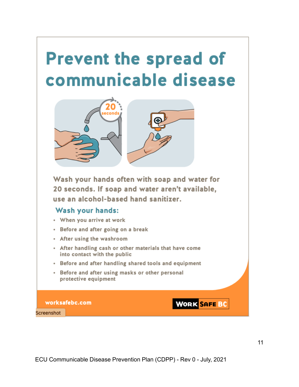# **Prevent the spread of** communicable disease



Wash your hands often with soap and water for 20 seconds. If soap and water aren't available. use an alcohol-based hand sanitizer.

#### **Wash your hands:**

- When you arrive at work
- Before and after going on a break
- After using the washroom
- After handling cash or other materials that have come into contact with the public
- Before and after handling shared tools and equipment
- Before and after using masks or other personal protective equipment

worksafebc.com

Screenshot

**WORK SAFE BC**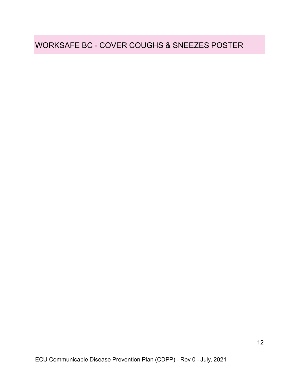#### <span id="page-11-0"></span>WORKSAFE BC - COVER COUGHS & SNEEZES POSTER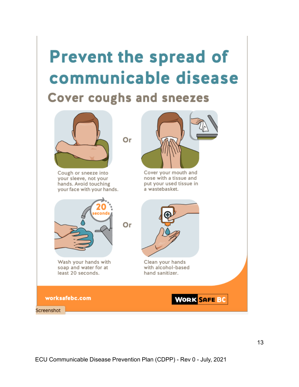## **Prevent the spread of** communicable disease **Cover coughs and sneezes**

Or



Cough or sneeze into your sleeve, not your hands. Avoid touching your face with your hands.



Cover your mouth and nose with a tissue and put your used tissue in a wastebasket.



Wash your hands with soap and water for at least 20 seconds.

Clean your hands with alcohol-based hand sanitizer.

**WORK SAFE BC** 

worksafebc.com

Screenshot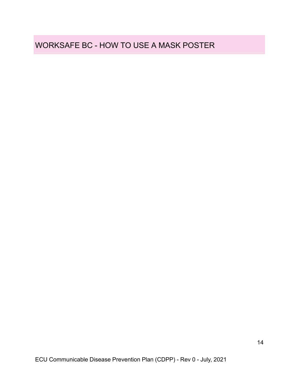#### <span id="page-13-0"></span>WORKSAFE BC - HOW TO USE A MASK POSTER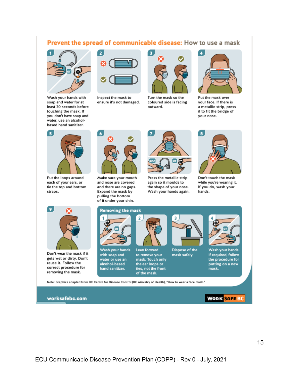#### Prevent the spread of communicable disease: How to use a mask

 $\overline{\mathbf{a}}$ 



Wash your hands with soap and water for at least 20 seconds before touching the mask. If you don't have soap and water, use an alcoholbased hand sanitizer.



Inspect the mask to ensure it's not damaged.



Turn the mask so the coloured side is facing outward.



Put the mask over your face. If there is a metallic strip, press it to fit the bridge of your nose.



Put the loops around each of your ears, or tie the top and bottom straps.



Make sure your mouth and nose are covered and there are no gaps. Expand the mask by pulling the bottom of it under your chin.



Press the metallic strip again so it moulds to the shape of your nose. Wash your hands again.



Don't touch the mask while you're wearing it. If you do, wash your hands.



Don't wear the mask if it gets wet or dirty. Don't reuse it. Follow the correct procedure for removing the mask.



Wash your hands with soap and water or use an alcohol-based hand sanitizer.



Lean forward to remove your mask. Touch only the ear loops or ties, not the front of the mask.

Dispose of the mask safely.



Wash your hands. If required, follow the procedure for putting on a new mask.

**WORK SAFE BC** 

Note: Graphics adapted from BC Centre for Disease Control (BC Ministry of Health), "How to wear a face mask."

worksafebc.com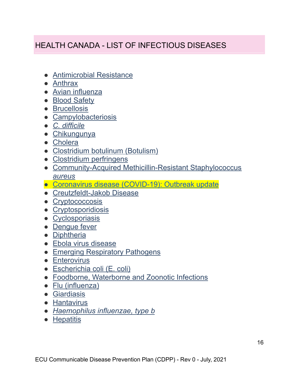#### <span id="page-15-0"></span>HEALTH CANADA - LIST OF INFECTIOUS DISEASES

- [Antimicrobial Resistance](http://www.phac-aspc.gc.ca/amr-ram/index-eng.php)
- [Anthrax](https://www.canada.ca/en/public-health/services/infectious-diseases/a-infectious-diseases.html#anthrax)
- [Avian influenza](https://www.canada.ca/en/public-health/services/infectious-diseases/a-infectious-diseases.html#ai)
- [Blood Safety](https://www.canada.ca/en/public-health/services/infectious-diseases/a-infectious-diseases.html#blood)
- [Brucellosis](https://www.canada.ca/en/public-health/services/infectious-diseases/a-infectious-diseases.html#brucellosis)
- [Campylobacteriosis](https://www.canada.ca/en/public-health/services/infectious-diseases/a-infectious-diseases.html#campybacteriosis)
- *[C. difficile](https://www.canada.ca/en/public-health/services/infectious-diseases/a-infectious-diseases.html#cdifficile)*
- [Chikungunya](http://healthycanadians.gc.ca/diseases-conditions-maladies-affections/disease-maladie/chikungunya/index-eng.php)
- [Cholera](https://www.canada.ca/en/public-health/services/infectious-diseases/a-infectious-diseases.html#cholera)
- [Clostridium botulinum \(Botulism\)](https://www.canada.ca/en/public-health/services/infectious-diseases/a-infectious-diseases.html#clos)
- [Clostridium perfringens](https://www.canada.ca/en/public-health/services/infectious-diseases/a-infectious-diseases.html#clo)
- [Community-Acquired Methicillin-Resistant Staphylococcus](https://www.canada.ca/en/public-health/services/infectious-diseases/fact-sheet-community-acquired-methicillin-resistant-staphylococcus-aureus-mrsa.html) *[aureus](https://www.canada.ca/en/public-health/services/infectious-diseases/fact-sheet-community-acquired-methicillin-resistant-staphylococcus-aureus-mrsa.html)*
- [Coronavirus disease \(COVID-19\): Outbreak update](https://www.canada.ca/en/public-health/services/diseases/2019-novel-coronavirus-infection.html)
- [Creutzfeldt-Jakob Disease](https://www.canada.ca/en/public-health/services/infectious-diseases/a-infectious-diseases.html#cjd)
- [Cryptococcosis](https://www.canada.ca/en/public-health/services/laboratory-biosafety-biosecurity/pathogen-safety-data-sheets-risk-assessment/cryptococcus-neoformans.html)
- [Cryptosporidiosis](http://www.hc-sc.gc.ca/ewh-semt/pubs/water-eau/giardia_cryptosporidium-eng.php)
- [Cyclosporiasis](http://healthycanadians.gc.ca/eating-nutrition/poisoning-intoxication/cyclospora-eng.php)
- Denque fever
- [Diphtheria](https://www.canada.ca/en/public-health/services/immunization/vaccine-preventable-diseases/diphtheria.html)
- [Ebola virus disease](http://www.phac-aspc.gc.ca/id-mi/vhf-fvh/ebola-eng.php)
- [Emerging Respiratory Pathogens](https://www.canada.ca/en/public-health/services/emerging-respiratory-pathogens.html)
- [Enterovirus](https://www.canada.ca/en/public-health/services/infectious-diseases/a-infectious-diseases.html#ev)
- [Escherichia coli \(E. coli\)](https://www.canada.ca/en/public-health/services/infectious-diseases/a-infectious-diseases.html#es)
- [Foodborne, Waterborne and Zoonotic Infections](https://www.canada.ca/en/public-health/services/infectious-diseases/foodborne-waterborne-zoonotic-infections.html)
- [Flu \(influenza\)](https://www.canada.ca/en/public-health/services/diseases/flu-influenza.html)
- [Giardiasis](https://www.canada.ca/en/public-health/services/infectious-diseases/a-infectious-diseases.html#gi)
- [Hantavirus](http://www.phac-aspc.gc.ca/id-mi/vhf-fvh/hantavirus-eng.php)
- *[Haemophilus influenzae, type b](https://www.canada.ca/en/public-health/services/immunization/vaccine-preventable-diseases/haemophilus-influenzae-disease.html)*
- [Hepatitis](https://www.canada.ca/en/public-health/services/infectious-diseases/a-infectious-diseases.html#hep)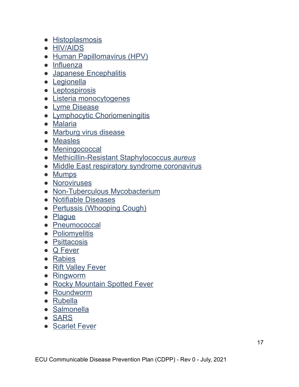- [Histoplasmosis](http://www.ccohs.ca/oshanswers/diseases/histopla.html)
- [HIV/AIDS](https://www.canada.ca/en/public-health/services/infectious-diseases/a-infectious-diseases.html#hivaids)
- [Human Papillomavirus \(HPV\)](https://www.canada.ca/en/public-health/services/infectious-diseases/sexual-health-sexually-transmitted-infections/human-papillomavirus-hpv.html)
- [Influenza](https://www.canada.ca/en/public-health/services/infectious-diseases/a-infectious-diseases.html#influenza)
- [Japanese Encephalitis](http://healthycanadians.gc.ca/diseases-conditions-maladies-affections/disease-maladie/japanese-encephalitis-encephalite-japonaise/index-eng.php)
- [Legionella](https://www.canada.ca/en/public-health/services/infectious-diseases/legionella.html)
- [Leptospirosis](http://travel.gc.ca/travelling/health-safety/diseases/leptospirosis)
- [Listeria monocytogenes](https://www.canada.ca/en/public-health/services/infectious-diseases/a-infectious-diseases.html#lis)
- [Lyme Disease](http://www.healthycanadians.gc.ca/diseases-conditions-maladies-affections/disease-maladie/lyme/index-eng.php)
- [Lymphocytic Choriomeningitis](https://www.canada.ca/en/public-health/services/laboratory-biosafety-biosecurity/pathogen-safety-data-sheets-risk-assessment/lymphocytic-choriomeningitis-virus.html)
- [Malaria](https://www.canada.ca/en/public-health/services/diseases/malaria.html)
- [Marburg virus disease](https://www.canada.ca/en/public-health/services/infectious-diseases/viral-haemorrhagic-fevers/marburg-virus-disease.html)
- [Measles](https://www.canada.ca/en/public-health/services/diseases/measles.html)
- [Meningococcal](https://www.canada.ca/en/public-health/services/immunization/vaccine-preventable-diseases/invasive-meningococcal-disease.html)
- [Methicillin-Resistant Staphylococcus](http://www.phac-aspc.gc.ca/id-mi/mrsa-eng.php) *aureus*
- [Middle East respiratory syndrome coronavirus](https://www.canada.ca/en/public-health/services/infectious-diseases/a-infectious-diseases.html#nc)
- [Mumps](https://www.canada.ca/en/public-health/services/immunization/vaccine-preventable-diseases/mumps.html)
- [Noroviruses](http://www.phac-aspc.gc.ca/fs-sa/fs-fi/norovirus-eng.php)
- [Non-Tuberculous Mycobacterium](https://www.canada.ca/en/public-health/services/infectious-diseases/canadian-public-health-laboratory-network-interim-laboratory-testing-guidance-detection-non-tuberculous.html)
- [Notifiable Diseases](https://www.canada.ca/en/public-health/services/infectious-diseases/a-infectious-diseases.html#not)
- [Pertussis \(Whooping Cough\)](https://www.canada.ca/en/public-health/services/immunization/vaccine-preventable-diseases/pertussis-whooping-cough.html)
- [Plague](http://www.phac-aspc.gc.ca/ep-mu/plague-eng.php)
- [Pneumococcal](https://www.canada.ca/en/public-health/services/immunization/vaccine-preventable-diseases/invasive-pneumococcal-disease.html)
- [Poliomyelitis](https://www.canada.ca/en/public-health/services/diseases/poliomyelitis-polio.html)
- [Psittacosis](http://www.ccohs.ca/oshanswers/diseases/psittacosis.html)
- [Q Fever](http://www.ccohs.ca/oshanswers/diseases/qfever.html)
- [Rabies](https://www.canada.ca/en/public-health/services/infectious-diseases/a-infectious-diseases.html#rabies)
- [Rift Valley Fever](http://www.inspection.gc.ca/animals/terrestrial-animals/diseases/reportable/rift-valley-fever/eng/1318960643030/1318960891637)
- [Ringworm](https://www.canada.ca/en/public-health/services/laboratory-biosafety-biosecurity/pathogen-safety-data-sheets-risk-assessment/epidermophyton-floccosum-microsporum-trichophyton.html)
- [Rocky Mountain Spotted Fever](https://www.canada.ca/en/public-health/services/laboratory-biosafety-biosecurity/pathogen-safety-data-sheets-risk-assessment/rickettsia-rickettsii.html)
- [Roundworm](https://www.canada.ca/en/public-health/services/laboratory-biosafety-biosecurity/pathogen-safety-data-sheets-risk-assessment/ascaris-pathogen-safety-data-sheet.html)
- [Rubella](http://www.healthycanadians.gc.ca/diseases-conditions-maladies-affections/disease-maladie/rubella-rubeole/index-eng.php)
- [Salmonella](http://www.healthycanadians.gc.ca/diseases-conditions-maladies-affections/disease-maladie/salmonellosis/index-eng.php)
- [SARS](https://www.canada.ca/en/public-health/services/infectious-diseases/a-infectious-diseases.html#sars)
- [Scarlet Fever](https://www.canada.ca/en/public-health/services/infectious-diseases/scarlet-fever-fact-sheet.html)